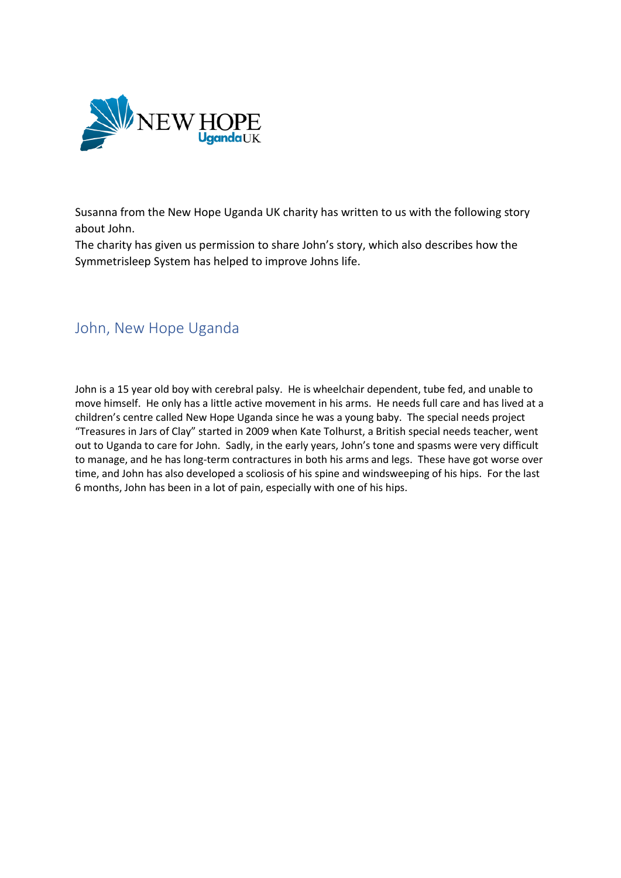

Susanna from the New Hope Uganda UK charity has written to us with the following story about John.

The charity has given us permission to share John's story, which also describes how the Symmetrisleep System has helped to improve Johns life.

## John, New Hope Uganda

John is a 15 year old boy with cerebral palsy. He is wheelchair dependent, tube fed, and unable to move himself. He only has a little active movement in his arms. He needs full care and has lived at a children's centre called New Hope Uganda since he was a young baby. The special needs project "Treasures in Jars of Clay" started in 2009 when Kate Tolhurst, a British special needs teacher, went out to Uganda to care for John. Sadly, in the early years, John's tone and spasms were very difficult to manage, and he has long-term contractures in both his arms and legs. These have got worse over time, and John has also developed a scoliosis of his spine and windsweeping of his hips. For the last 6 months, John has been in a lot of pain, especially with one of his hips.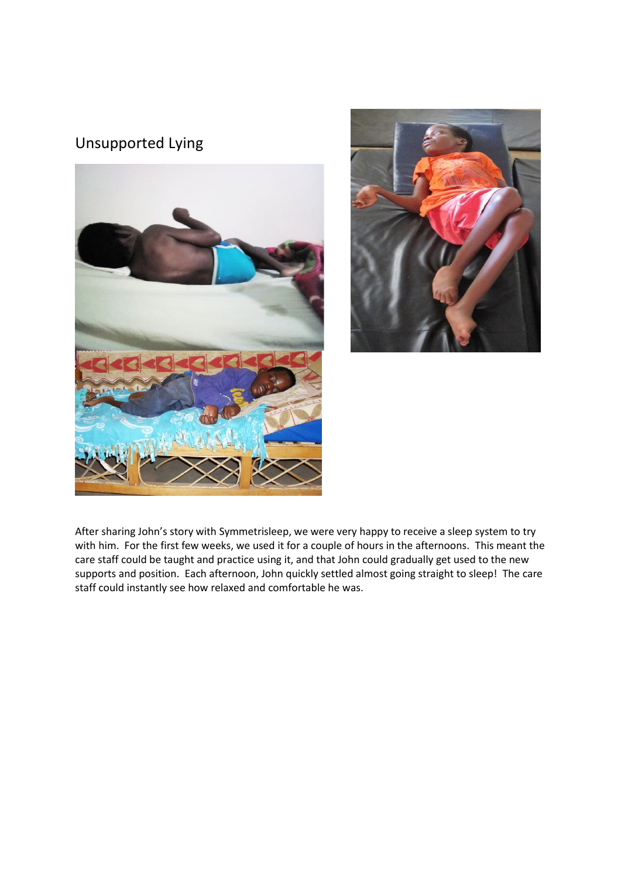## Unsupported Lying





After sharing John's story with Symmetrisleep, we were very happy to receive a sleep system to try with him. For the first few weeks, we used it for a couple of hours in the afternoons. This meant the care staff could be taught and practice using it, and that John could gradually get used to the new supports and position. Each afternoon, John quickly settled almost going straight to sleep! The care staff could instantly see how relaxed and comfortable he was.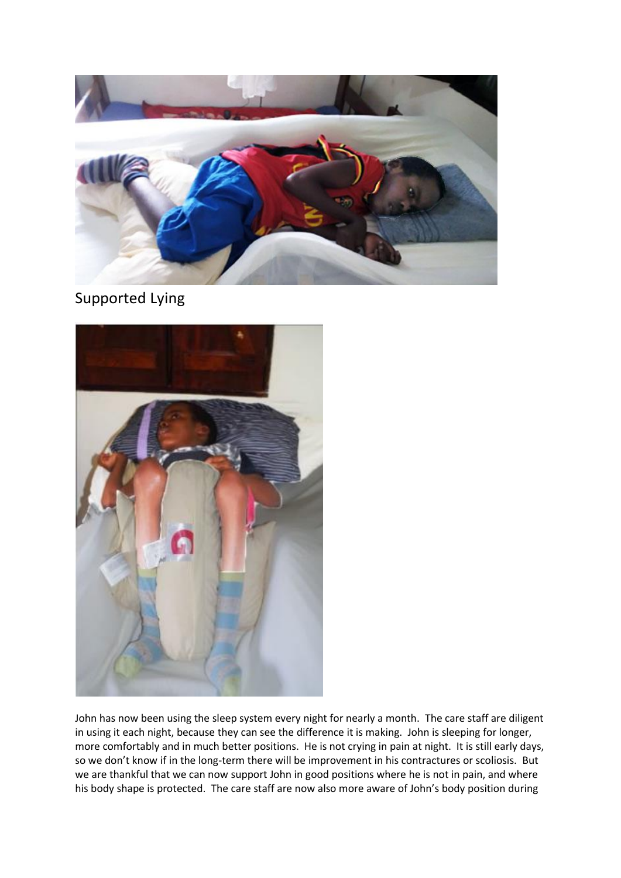

Supported Lying



John has now been using the sleep system every night for nearly a month. The care staff are diligent in using it each night, because they can see the difference it is making. John is sleeping for longer, more comfortably and in much better positions. He is not crying in pain at night. It is still early days, so we don't know if in the long-term there will be improvement in his contractures or scoliosis. But we are thankful that we can now support John in good positions where he is not in pain, and where his body shape is protected. The care staff are now also more aware of John's body position during